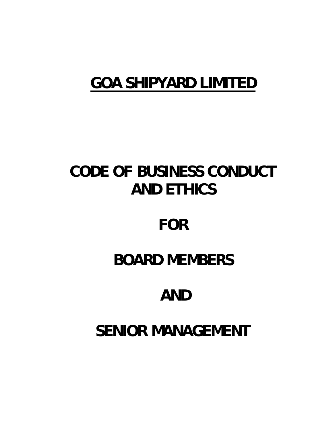# **GOA SHIPYARD LIMITED**

# **CODE OF BUSINESS CONDUCT AND ETHICS**

# **FOR**

# **BOARD MEMBERS**

# **AND**

# **SENIOR MANAGEMENT**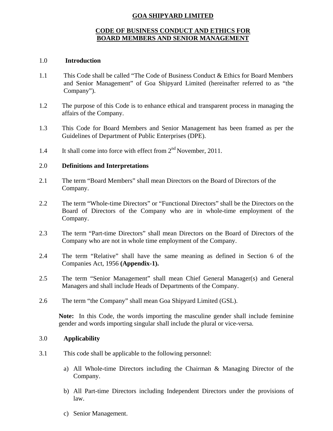# **GOA SHIPYARD LIMITED**

# **CODE OF BUSINESS CONDUCT AND ETHICS FOR BOARD MEMBERS AND SENIOR MANAGEMENT**

#### 1.0 **Introduction**

- 1.1 This Code shall be called "The Code of Business Conduct & Ethics for Board Members and Senior Management" of Goa Shipyard Limited (hereinafter referred to as "the Company").
- 1.2 The purpose of this Code is to enhance ethical and transparent process in managing the affairs of the Company.
- 1.3 This Code for Board Members and Senior Management has been framed as per the Guidelines of Department of Public Enterprises (DPE).
- 1.4 It shall come into force with effect from  $2<sup>nd</sup>$  November, 2011.

## 2.0 **Definitions and Interpretations**

- 2.1 The term "Board Members" shall mean Directors on the Board of Directors of the Company.
- 2.2 The term "Whole-time Directors" or "Functional Directors" shall be the Directors on the Board of Directors of the Company who are in whole-time employment of the Company.
- 2.3 The term "Part-time Directors" shall mean Directors on the Board of Directors of the Company who are not in whole time employment of the Company.
- 2.4 The term "Relative" shall have the same meaning as defined in Section 6 of the Companies Act, 1956 **(Appendix-1).**
- 2.5 The term "Senior Management" shall mean Chief General Manager(s) and General Managers and shall include Heads of Departments of the Company.
- 2.6 The term "the Company" shall mean Goa Shipyard Limited (GSL).

**Note:** In this Code, the words importing the masculine gender shall include feminine gender and words importing singular shall include the plural or vice-versa.

## 3.0 **Applicability**

- 3.1 This code shall be applicable to the following personnel:
	- a) All Whole-time Directors including the Chairman & Managing Director of the Company.
	- b) All Part-time Directors including Independent Directors under the provisions of law.
	- c) Senior Management.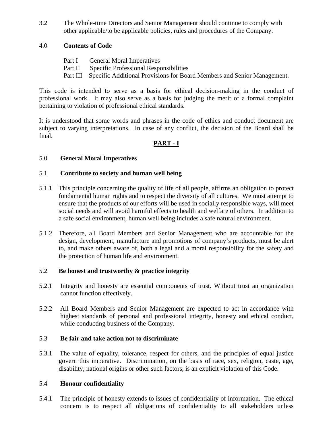3.2 The Whole-time Directors and Senior Management should continue to comply with other applicable/to be applicable policies, rules and procedures of the Company.

# 4.0 **Contents of Code**

- Part I General Moral Imperatives
- Part II Specific Professional Responsibilities
- Part III Specific Additional Provisions for Board Members and Senior Management.

This code is intended to serve as a basis for ethical decision-making in the conduct of professional work. It may also serve as a basis for judging the merit of a formal complaint pertaining to violation of professional ethical standards.

It is understood that some words and phrases in the code of ethics and conduct document are subject to varying interpretations. In case of any conflict, the decision of the Board shall be final.

# **PART - I**

# 5.0 **General Moral Imperatives**

# 5.1 **Contribute to society and human well being**

- 5.1.1 This principle concerning the quality of life of all people, affirms an obligation to protect fundamental human rights and to respect the diversity of all cultures. We must attempt to ensure that the products of our efforts will be used in socially responsible ways, will meet social needs and will avoid harmful effects to health and welfare of others. In addition to a safe social environment, human well being includes a safe natural environment.
- 5.1.2 Therefore, all Board Members and Senior Management who are accountable for the design, development, manufacture and promotions of company's products, must be alert to, and make others aware of, both a legal and a moral responsibility for the safety and the protection of human life and environment.

## 5.2 **Be honest and trustworthy & practice integrity**

- 5.2.1 Integrity and honesty are essential components of trust. Without trust an organization cannot function effectively.
- 5.2.2 All Board Members and Senior Management are expected to act in accordance with highest standards of personal and professional integrity, honesty and ethical conduct, while conducting business of the Company.

# 5.3 **Be fair and take action not to discriminate**

5.3.1 The value of equality, tolerance, respect for others, and the principles of equal justice govern this imperative. Discrimination, on the basis of race, sex, religion, caste, age, disability, national origins or other such factors, is an explicit violation of this Code.

## 5.4 **Honour confidentiality**

5.4.1 The principle of honesty extends to issues of confidentiality of information. The ethical concern is to respect all obligations of confidentiality to all stakeholders unless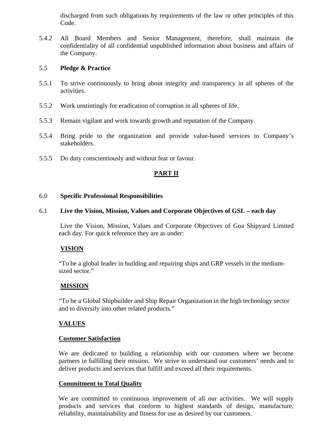discharged from such obligations by requirements of the law or other principles of this Code.

5.4.2 All Board Members and Senior Management, therefore, shall maintain the confidentiality of all confidential unpublished information about business and affairs of the Company.

## 5.5 **Pledge & Practice**

- 5.5.1 To strive continuously to bring about integrity and transparency in all spheres of the activities.
- 5.5.2 Work unstintingly for eradication of corruption in all spheres of life.
- 5.5.3 Remain vigilant and work towards growth and reputation of the Company.
- 5.5.4 Bring pride to the organization and provide value-based services to Company's stakeholders.
- 5.5.5 Do duty conscientiously and without fear or favour.

# **PART II**

## 6.0 **Specific Professional Responsibilities**

# 6.1 **Live the Vision, Mission, Values and Corporate Objectives of GSL – each day**

Live the Vision, Mission, Values and Corporate Objectives of Goa Shipyard Limited each day. For quick reference they are as under:

# **VISION**

"To be a global leader in building and repairing ships and GRP vessels in the mediumsized sector."

# **MISSION**

"To be a Global Shipbuilder and Ship Repair Organization in the high technology sector and to diversify into other related products."

# **VALUES**

## **Customer Satisfaction**

We are dedicated to building a relationship with our customers where we become partners in fulfilling their mission. We strive to understand our customers' needs and to deliver products and services that fulfill and exceed all their requirements.

# **Commitment to Total Quality**

We are committed to continuous improvement of all our activities. We will supply products and services that conform to highest standards of design, manufacture, reliability, maintainability and fitness for use as desired by our customers.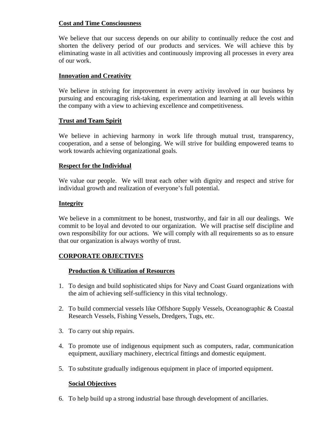# **Cost and Time Consciousness**

We believe that our success depends on our ability to continually reduce the cost and shorten the delivery period of our products and services. We will achieve this by eliminating waste in all activities and continuously improving all processes in every area of our work.

# **Innovation and Creativity**

We believe in striving for improvement in every activity involved in our business by pursuing and encouraging risk-taking, experimentation and learning at all levels within the company with a view to achieving excellence and competitiveness.

# **Trust and Team Spirit**

We believe in achieving harmony in work life through mutual trust, transparency, cooperation, and a sense of belonging. We will strive for building empowered teams to work towards achieving organizational goals.

# **Respect for the Individual**

We value our people. We will treat each other with dignity and respect and strive for individual growth and realization of everyone's full potential.

# **Integrity**

We believe in a commitment to be honest, trustworthy, and fair in all our dealings. We commit to be loyal and devoted to our organization. We will practise self discipline and own responsibility for our actions. We will comply with all requirements so as to ensure that our organization is always worthy of trust.

# **CORPORATE OBJECTIVES**

# **Production & Utilization of Resources**

- 1. To design and build sophisticated ships for Navy and Coast Guard organizations with the aim of achieving self-sufficiency in this vital technology.
- 2. To build commercial vessels like Offshore Supply Vessels, Oceanographic & Coastal Research Vessels, Fishing Vessels, Dredgers, Tugs, etc.
- 3. To carry out ship repairs.
- 4. To promote use of indigenous equipment such as computers, radar, communication equipment, auxiliary machinery, electrical fittings and domestic equipment.
- 5. To substitute gradually indigenous equipment in place of imported equipment.

# **Social Objectives**

6. To help build up a strong industrial base through development of ancillaries.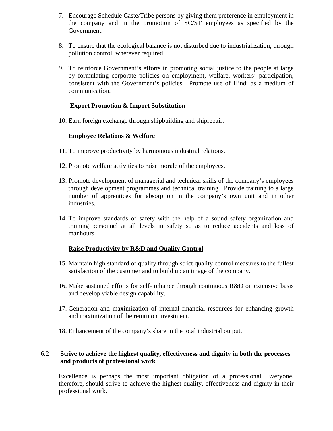- 7. Encourage Schedule Caste/Tribe persons by giving them preference in employment in the company and in the promotion of SC/ST employees as specified by the Government.
- 8. To ensure that the ecological balance is not disturbed due to industrialization, through pollution control, wherever required.
- 9. To reinforce Government's efforts in promoting social justice to the people at large by formulating corporate policies on employment, welfare, workers' participation, consistent with the Government's policies. Promote use of Hindi as a medium of communication.

## **Export Promotion & Import Substitution**

10. Earn foreign exchange through shipbuilding and shiprepair.

# **Employee Relations & Welfare**

- 11. To improve productivity by harmonious industrial relations.
- 12. Promote welfare activities to raise morale of the employees.
- 13. Promote development of managerial and technical skills of the company's employees through development programmes and technical training. Provide training to a large number of apprentices for absorption in the company's own unit and in other industries.
- 14. To improve standards of safety with the help of a sound safety organization and training personnel at all levels in safety so as to reduce accidents and loss of manhours.

# **Raise Productivity by R&D and Quality Control**

- 15. Maintain high standard of quality through strict quality control measures to the fullest satisfaction of the customer and to build up an image of the company.
- 16. Make sustained efforts for self- reliance through continuous R&D on extensive basis and develop viable design capability.
- 17. Generation and maximization of internal financial resources for enhancing growth and maximization of the return on investment.
- 18. Enhancement of the company's share in the total industrial output.

# 6.2 **Strive to achieve the highest quality, effectiveness and dignity in both the processes and products of professional work**

Excellence is perhaps the most important obligation of a professional. Everyone, therefore, should strive to achieve the highest quality, effectiveness and dignity in their professional work.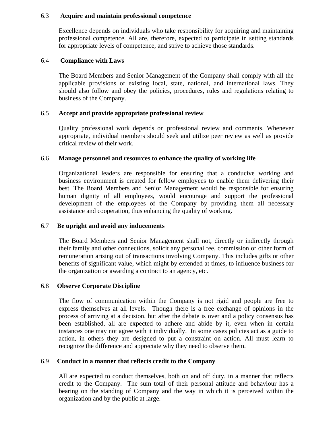#### 6.3 **Acquire and maintain professional competence**

Excellence depends on individuals who take responsibility for acquiring and maintaining professional competence. All are, therefore, expected to participate in setting standards for appropriate levels of competence, and strive to achieve those standards.

#### 6.4 **Compliance with Laws**

The Board Members and Senior Management of the Company shall comply with all the applicable provisions of existing local, state, national, and international laws. They should also follow and obey the policies, procedures, rules and regulations relating to business of the Company.

## 6.5 **Accept and provide appropriate professional review**

Quality professional work depends on professional review and comments. Whenever appropriate, individual members should seek and utilize peer review as well as provide critical review of their work.

## 6.6 **Manage personnel and resources to enhance the quality of working life**

Organizational leaders are responsible for ensuring that a conducive working and business environment is created for fellow employees to enable them delivering their best. The Board Members and Senior Management would be responsible for ensuring human dignity of all employees, would encourage and support the professional development of the employees of the Company by providing them all necessary assistance and cooperation, thus enhancing the quality of working.

## 6.7 **Be upright and avoid any inducements**

The Board Members and Senior Management shall not, directly or indirectly through their family and other connections, solicit any personal fee, commission or other form of remuneration arising out of transactions involving Company. This includes gifts or other benefits of significant value, which might by extended at times, to influence business for the organization or awarding a contract to an agency, etc.

## 6.8 **Observe Corporate Discipline**

The flow of communication within the Company is not rigid and people are free to express themselves at all levels. Though there is a free exchange of opinions in the process of arriving at a decision, but after the debate is over and a policy consensus has been established, all are expected to adhere and abide by it, even when in certain instances one may not agree with it individually. In some cases policies act as a guide to action, in others they are designed to put a constraint on action. All must learn to recognize the difference and appreciate why they need to observe them.

## 6.9 **Conduct in a manner that reflects credit to the Company**

All are expected to conduct themselves, both on and off duty, in a manner that reflects credit to the Company. The sum total of their personal attitude and behaviour has a bearing on the standing of Company and the way in which it is perceived within the organization and by the public at large.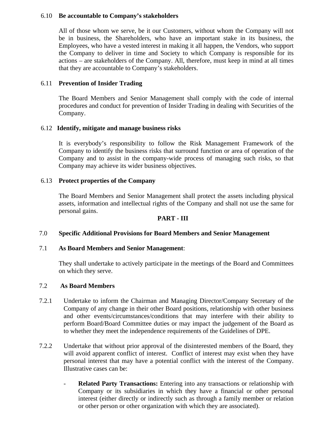## 6.10 **Be accountable to Company's stakeholders**

All of those whom we serve, be it our Customers, without whom the Company will not be in business, the Shareholders, who have an important stake in its business, the Employees, who have a vested interest in making it all happen, the Vendors, who support the Company to deliver in time and Society to which Company is responsible for its actions – are stakeholders of the Company. All, therefore, must keep in mind at all times that they are accountable to Company's stakeholders.

## 6.11 **Prevention of Insider Trading**

The Board Members and Senior Management shall comply with the code of internal procedures and conduct for prevention of Insider Trading in dealing with Securities of the Company.

## 6.12 **Identify, mitigate and manage business risks**

It is everybody's responsibility to follow the Risk Management Framework of the Company to identify the business risks that surround function or area of operation of the Company and to assist in the company-wide process of managing such risks, so that Company may achieve its wider business objectives.

# 6.13 **Protect properties of the Company**

The Board Members and Senior Management shall protect the assets including physical assets, information and intellectual rights of the Company and shall not use the same for personal gains.

## **PART - III**

## 7.0 **Specific Additional Provisions for Board Members and Senior Management**

## 7.1 **As Board Members and Senior Management**:

They shall undertake to actively participate in the meetings of the Board and Committees on which they serve.

## 7.2 **As Board Members**

- 7.2.1 Undertake to inform the Chairman and Managing Director/Company Secretary of the Company of any change in their other Board positions, relationship with other business and other events/circumstances/conditions that may interfere with their ability to perform Board/Board Committee duties or may impact the judgement of the Board as to whether they meet the independence requirements of the Guidelines of DPE.
- 7.2.2 Undertake that without prior approval of the disinterested members of the Board, they will avoid apparent conflict of interest. Conflict of interest may exist when they have personal interest that may have a potential conflict with the interest of the Company. Illustrative cases can be:
	- **Related Party Transactions:** Entering into any transactions or relationship with Company or its subsidiaries in which they have a financial or other personal interest (either directly or indirectly such as through a family member or relation or other person or other organization with which they are associated).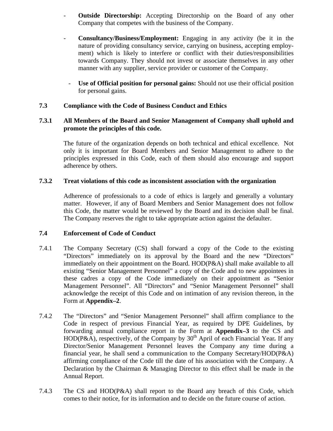- **Outside Directorship:** Accepting Directorship on the Board of any other Company that competes with the business of the Company.
- **Consultancy/Business/Employment:** Engaging in any activity (be it in the nature of providing consultancy service, carrying on business, accepting employment) which is likely to interfere or conflict with their duties/responsibilities towards Company. They should not invest or associate themselves in any other manner with any supplier, service provider or customer of the Company.
	- **Use of Official position for personal gains:** Should not use their official position for personal gains.

# **7.3 Compliance with the Code of Business Conduct and Ethics**

# **7.3.1 All Members of the Board and Senior Management of Company shall uphold and promote the principles of this code.**

The future of the organization depends on both technical and ethical excellence. Not only it is important for Board Members and Senior Management to adhere to the principles expressed in this Code, each of them should also encourage and support adherence by others.

## **7.3.2 Treat violations of this code as inconsistent association with the organization**

Adherence of professionals to a code of ethics is largely and generally a voluntary matter. However, if any of Board Members and Senior Management does not follow this Code, the matter would be reviewed by the Board and its decision shall be final. The Company reserves the right to take appropriate action against the defaulter.

## **7.4 Enforcement of Code of Conduct**

- 7.4.1 The Company Secretary (CS) shall forward a copy of the Code to the existing "Directors" immediately on its approval by the Board and the new "Directors" immediately on their appointment on the Board. HOD(P&A) shall make available to all existing "Senior Management Personnel" a copy of the Code and to new appointees in these cadres a copy of the Code immediately on their appointment as "Senior Management Personnel". All "Directors" and "Senior Management Personnel" shall acknowledge the receipt of this Code and on intimation of any revision thereon, in the Form at **Appendix–2**.
- 7.4.2 The "Directors" and "Senior Management Personnel" shall affirm compliance to the Code in respect of previous Financial Year, as required by DPE Guidelines, by forwarding annual compliance report in the Form at **Appendix–3** to the CS and HOD(P&A), respectively, of the Company by 30<sup>th</sup> April of each Financial Year. If any Director/Senior Management Personnel leaves the Company any time during a financial year, he shall send a communication to the Company Secretary/HOD(P&A) affirming compliance of the Code till the date of his association with the Company. A Declaration by the Chairman & Managing Director to this effect shall be made in the Annual Report.
- 7.4.3 The CS and HOD(P&A) shall report to the Board any breach of this Code, which comes to their notice, for its information and to decide on the future course of action.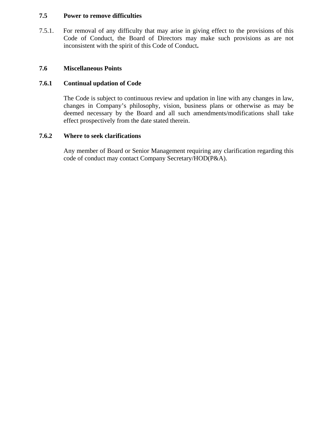# **7.5 Power to remove difficulties**

7.5.1. For removal of any difficulty that may arise in giving effect to the provisions of this Code of Conduct, the Board of Directors may make such provisions as are not inconsistent with the spirit of this Code of Conduct**.** 

## **7.6 Miscellaneous Points**

# **7.6.1 Continual updation of Code**

The Code is subject to continuous review and updation in line with any changes in law, changes in Company's philosophy, vision, business plans or otherwise as may be deemed necessary by the Board and all such amendments/modifications shall take effect prospectively from the date stated therein.

# **7.6.2 Where to seek clarifications**

Any member of Board or Senior Management requiring any clarification regarding this code of conduct may contact Company Secretary/HOD(P&A).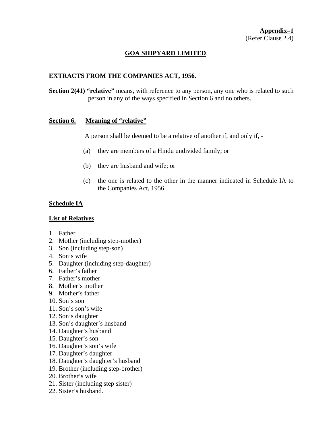# **GOA SHIPYARD LIMITED**.

# **EXTRACTS FROM THE COMPANIES ACT, 1956.**

**Section 2(41)** "relative" means, with reference to any person, any one who is related to such person in any of the ways specified in Section 6 and no others.

## **Section 6. Meaning of "relative"**

A person shall be deemed to be a relative of another if, and only if, -

- (a) they are members of a Hindu undivided family; or
- (b) they are husband and wife; or
- (c) the one is related to the other in the manner indicated in Schedule IA to the Companies Act, 1956.

# **Schedule IA**

## **List of Relatives**

- 1. Father
- 2. Mother (including step-mother)
- 3. Son (including step-son)
- 4. Son's wife
- 5. Daughter (including step-daughter)
- 6. Father's father
- 7. Father's mother
- 8. Mother's mother
- 9. Mother's father
- 10. Son's son
- 11. Son's son's wife
- 12. Son's daughter
- 13. Son's daughter's husband
- 14. Daughter's husband
- 15. Daughter's son
- 16. Daughter's son's wife
- 17. Daughter's daughter
- 18. Daughter's daughter's husband
- 19. Brother (including step-brother)
- 20. Brother's wife
- 21. Sister (including step sister)
- 22. Sister's husband.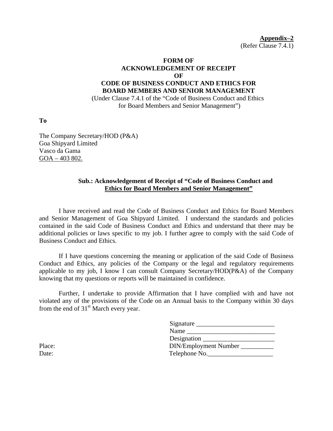**Appendix–2** (Refer Clause 7.4.1)

# **FORM OF ACKNOWLEDGEMENT OF RECEIPT OF CODE OF BUSINESS CONDUCT AND ETHICS FOR BOARD MEMBERS AND SENIOR MANAGEMENT**

 (Under Clause 7.4.1 of the "Code of Business Conduct and Ethics for Board Members and Senior Management")

**To** 

The Company Secretary/HOD (P&A) Goa Shipyard Limited Vasco da Gama GOA – 403 802.

## **Sub.: Acknowledgement of Receipt of "Code of Business Conduct and Ethics for Board Members and Senior Management"**

I have received and read the Code of Business Conduct and Ethics for Board Members and Senior Management of Goa Shipyard Limited. I understand the standards and policies contained in the said Code of Business Conduct and Ethics and understand that there may be additional policies or laws specific to my job. I further agree to comply with the said Code of Business Conduct and Ethics.

If I have questions concerning the meaning or application of the said Code of Business Conduct and Ethics, any policies of the Company or the legal and regulatory requirements applicable to my job, I know I can consult Company Secretary/HOD(P&A) of the Company knowing that my questions or reports will be maintained in confidence.

Further, I undertake to provide Affirmation that I have complied with and have not violated any of the provisions of the Code on an Annual basis to the Company within 30 days from the end of  $31<sup>st</sup>$  March every year.

| Signature             |
|-----------------------|
| Name                  |
|                       |
| DIN/Employment Number |
| Telephone No.         |
|                       |